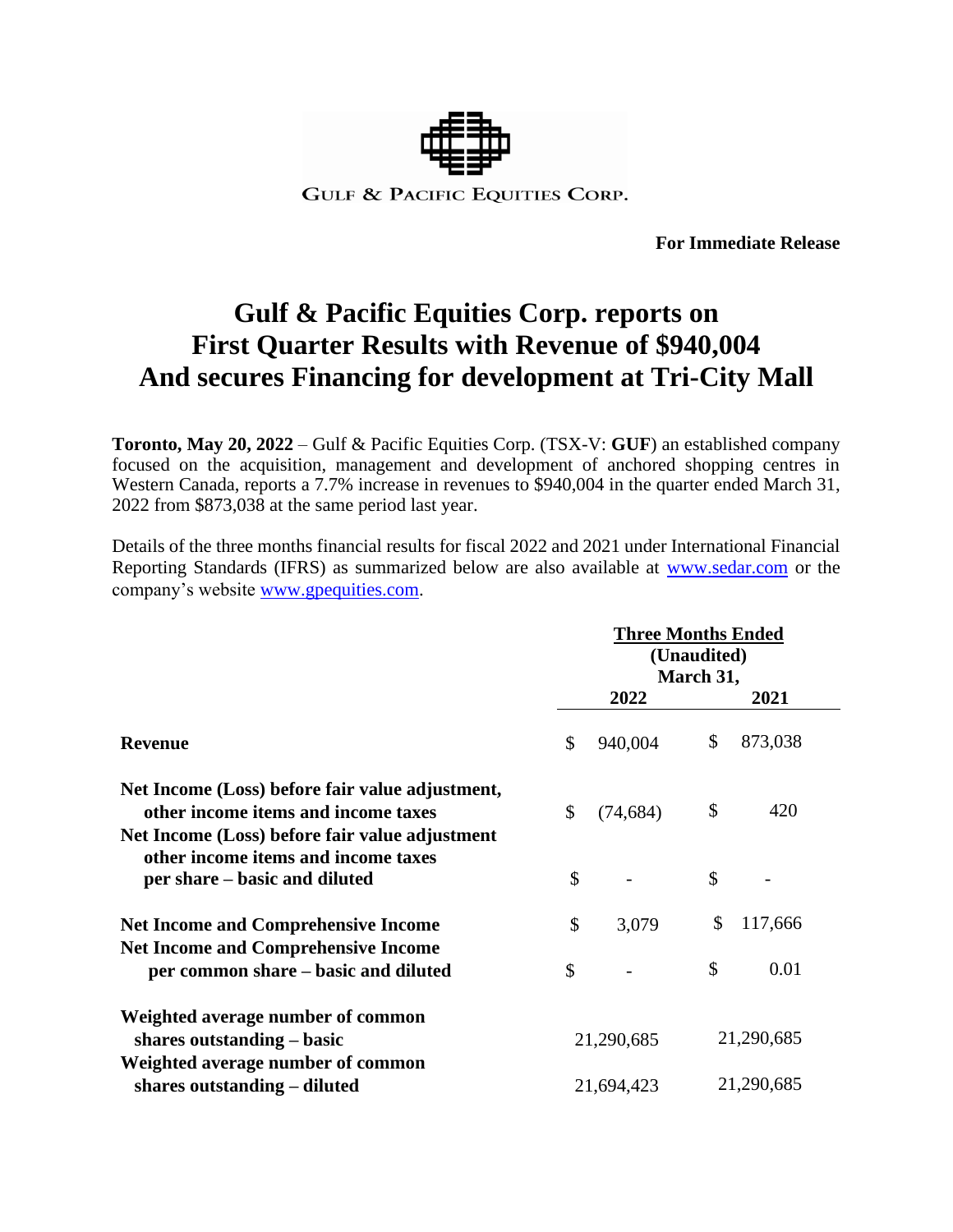

**For Immediate Release**

# **Gulf & Pacific Equities Corp. reports on First Quarter Results with Revenue of \$940,004 And secures Financing for development at Tri-City Mall**

**Toronto, May 20, 2022** – Gulf & Pacific Equities Corp. (TSX-V: **GUF**) an established company focused on the acquisition, management and development of anchored shopping centres in Western Canada, reports a 7.7% increase in revenues to \$940,004 in the quarter ended March 31, 2022 from \$873,038 at the same period last year.

Details of the three months financial results for fiscal 2022 and 2021 under International Financial Reporting Standards (IFRS) as summarized below are also available at [www.sedar.com](http://www.sedar.com/) or the company's website [www.gpequities.com.](http://www.gpequities.com/)

|                                                                                                                        | <b>Three Months Ended</b><br>(Unaudited)<br>March 31, |           |            |         |  |
|------------------------------------------------------------------------------------------------------------------------|-------------------------------------------------------|-----------|------------|---------|--|
|                                                                                                                        |                                                       | 2022      |            | 2021    |  |
| <b>Revenue</b>                                                                                                         | \$                                                    | 940,004   | \$         | 873,038 |  |
| Net Income (Loss) before fair value adjustment,<br>other income items and income taxes                                 | \$                                                    | (74, 684) | \$         | 420     |  |
| Net Income (Loss) before fair value adjustment<br>other income items and income taxes<br>per share – basic and diluted | \$                                                    |           | \$         |         |  |
| <b>Net Income and Comprehensive Income</b>                                                                             | \$                                                    | 3,079     | \$         | 117,666 |  |
| <b>Net Income and Comprehensive Income</b><br>per common share – basic and diluted                                     | \$                                                    |           | \$         | 0.01    |  |
| Weighted average number of common<br>shares outstanding – basic                                                        | 21,290,685                                            |           | 21,290,685 |         |  |
| Weighted average number of common<br>shares outstanding - diluted                                                      | 21,694,423                                            |           | 21,290,685 |         |  |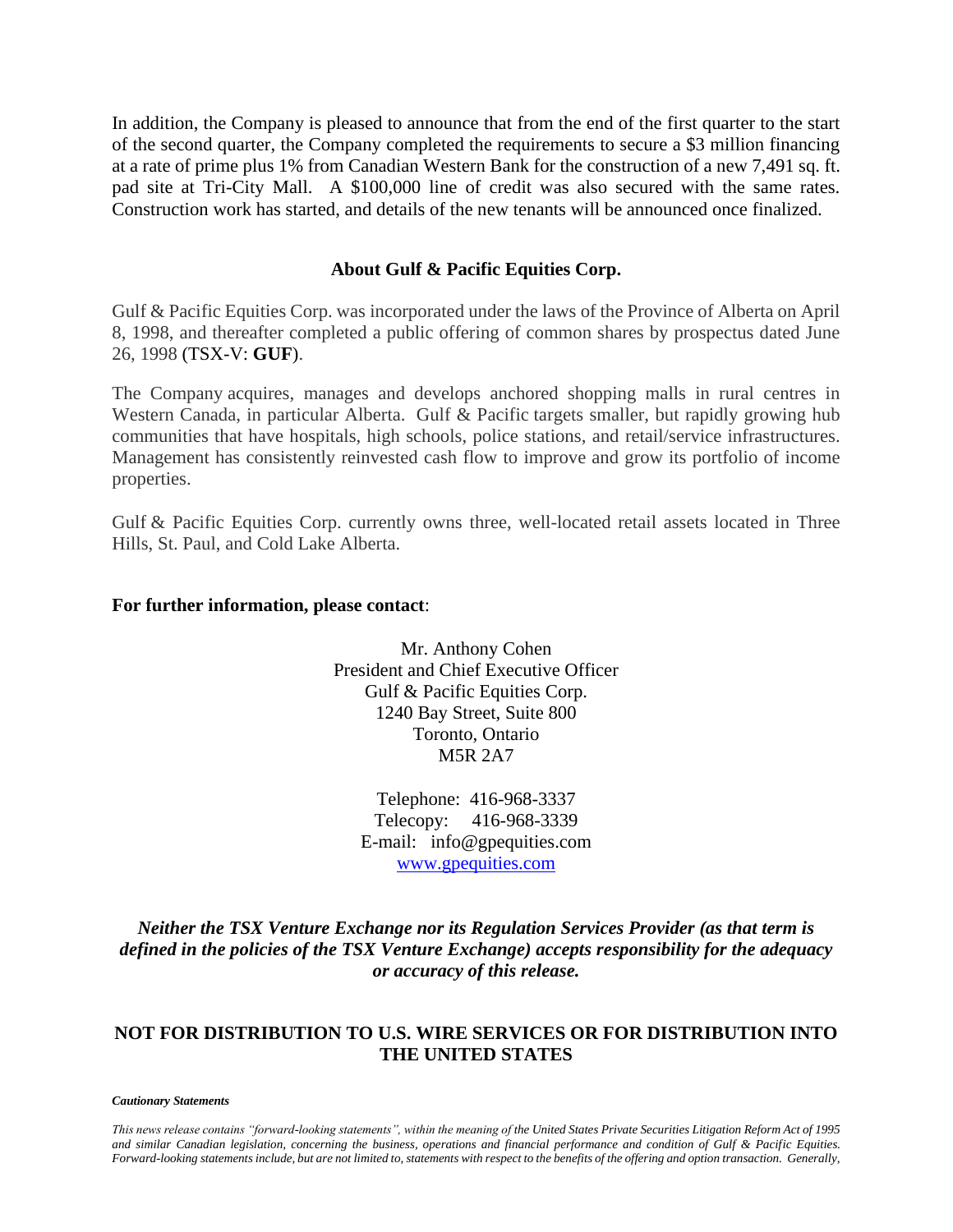In addition, the Company is pleased to announce that from the end of the first quarter to the start of the second quarter, the Company completed the requirements to secure a \$3 million financing at a rate of prime plus 1% from Canadian Western Bank for the construction of a new 7,491 sq. ft. pad site at Tri-City Mall. A \$100,000 line of credit was also secured with the same rates. Construction work has started, and details of the new tenants will be announced once finalized.

## **About Gulf & Pacific Equities Corp.**

Gulf & Pacific Equities Corp. was incorporated under the laws of the Province of Alberta on April 8, 1998, and thereafter completed a public offering of common shares by prospectus dated June 26, 1998 (TSX-V: **GUF**).

The Company acquires, manages and develops anchored shopping malls in rural centres in Western Canada, in particular Alberta. Gulf & Pacific targets smaller, but rapidly growing hub communities that have hospitals, high schools, police stations, and retail/service infrastructures. Management has consistently reinvested cash flow to improve and grow its portfolio of income properties.

Gulf & Pacific Equities Corp. currently owns three, well-located retail assets located in Three Hills, St. Paul, and Cold Lake Alberta.

### **For further information, please contact**:

Mr. Anthony Cohen President and Chief Executive Officer Gulf & Pacific Equities Corp. 1240 Bay Street, Suite 800 Toronto, Ontario M5R 2A7

Telephone: 416-968-3337 Telecopy: 416-968-3339 E-mail: info@gpequities.com [www.gpequities.com](http://www.gpequities.com/)

*Neither the TSX Venture Exchange nor its Regulation Services Provider (as that term is defined in the policies of the TSX Venture Exchange) accepts responsibility for the adequacy or accuracy of this release.*

## **NOT FOR DISTRIBUTION TO U.S. WIRE SERVICES OR FOR DISTRIBUTION INTO THE UNITED STATES**

#### *Cautionary Statements*

*This news release contains "forward-looking statements", within the meaning of the United States Private Securities Litigation Reform Act of 1995 and similar Canadian legislation, concerning the business, operations and financial performance and condition of Gulf & Pacific Equities. Forward-looking statements include, but are not limited to, statements with respect to the benefits of the offering and option transaction. Generally,*